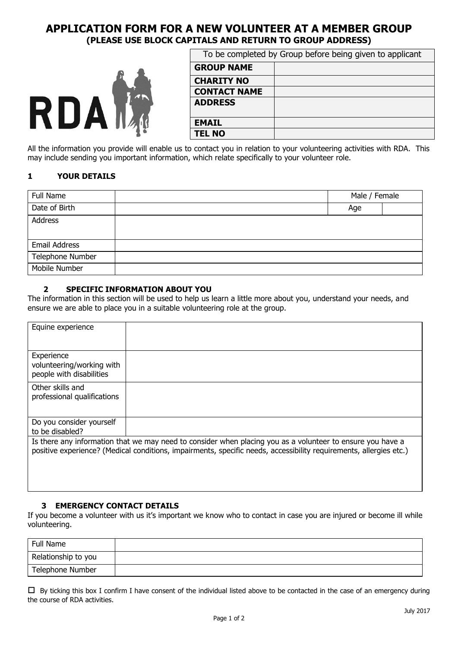# **APPLICATION FORM FOR A NEW VOLUNTEER AT A MEMBER GROUP (PLEASE USE BLOCK CAPITALS AND RETURN TO GROUP ADDRESS)**



| To be completed by Group before being given to applicant |  |  |
|----------------------------------------------------------|--|--|
| <b>GROUP NAME</b>                                        |  |  |
| <b>CHARITY NO</b>                                        |  |  |
| <b>CONTACT NAME</b>                                      |  |  |
| <b>ADDRESS</b>                                           |  |  |
| <b>EMAIL</b>                                             |  |  |
| <b>TEL NO</b>                                            |  |  |

All the information you provide will enable us to contact you in relation to your volunteering activities with RDA. This may include sending you important information, which relate specifically to your volunteer role.

## **1 YOUR DETAILS**

| Full Name        | Male / Female |  |
|------------------|---------------|--|
| Date of Birth    | Age           |  |
| Address          |               |  |
|                  |               |  |
| Email Address    |               |  |
| Telephone Number |               |  |
| Mobile Number    |               |  |

### **2 SPECIFIC INFORMATION ABOUT YOU**

The information in this section will be used to help us learn a little more about you, understand your needs, and ensure we are able to place you in a suitable volunteering role at the group.

| Equine experience                                                   |                                                                                                                                                                                                                                  |
|---------------------------------------------------------------------|----------------------------------------------------------------------------------------------------------------------------------------------------------------------------------------------------------------------------------|
| Experience<br>volunteering/working with<br>people with disabilities |                                                                                                                                                                                                                                  |
| Other skills and<br>professional qualifications                     |                                                                                                                                                                                                                                  |
| Do you consider yourself<br>to be disabled?                         |                                                                                                                                                                                                                                  |
|                                                                     | Is there any information that we may need to consider when placing you as a volunteer to ensure you have a<br>positive experience? (Medical conditions, impairments, specific needs, accessibility requirements, allergies etc.) |

### **3 EMERGENCY CONTACT DETAILS**

If you become a volunteer with us it's important we know who to contact in case you are injured or become ill while volunteering.

| Full Name           |  |
|---------------------|--|
| Relationship to you |  |
| Telephone Number    |  |

 $\Box$  By ticking this box I confirm I have consent of the individual listed above to be contacted in the case of an emergency during the course of RDA activities.